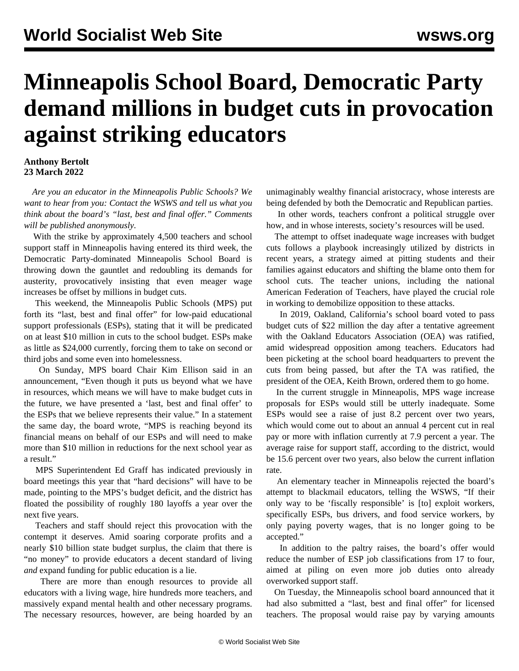## **Minneapolis School Board, Democratic Party demand millions in budget cuts in provocation against striking educators**

## **Anthony Bertolt 23 March 2022**

 *Are you an educator in the Minneapolis Public Schools? We want to hear from you: [Contact the WSWS](/en/special/pages/contact.html) and tell us what you think about the board's "last, best and final offer." Comments will be published anonymously.*

 With the strike by approximately 4,500 teachers and school support staff in Minneapolis having entered its third week, the Democratic Party-dominated Minneapolis School Board is throwing down the gauntlet and redoubling its demands for austerity, provocatively insisting that even meager wage increases be offset by millions in budget cuts.

 This weekend, the Minneapolis Public Schools (MPS) put forth its "last, best and final offer" for low-paid educational support professionals (ESPs), stating that it will be predicated on at least \$10 million in cuts to the school budget. ESPs make as little as \$24,000 currently, forcing them to take on second or third jobs and some even into homelessness.

 On Sunday, MPS board Chair Kim Ellison said in an announcement, "Even though it puts us beyond what we have in resources, which means we will have to make budget cuts in the future, we have presented a 'last, best and final offer' to the ESPs that we believe represents their value." In a statement the same day, the board wrote, "MPS is reaching beyond its financial means on behalf of our ESPs and will need to make more than \$10 million in reductions for the next school year as a result."

 MPS Superintendent Ed Graff has indicated previously in board meetings this year that "hard decisions" will have to be made, pointing to the MPS's budget deficit, and the district has floated the possibility of roughly 180 layoffs a year over the next five years.

 Teachers and staff should reject this provocation with the contempt it deserves. Amid soaring corporate profits and a nearly \$10 billion state budget surplus, the claim that there is "no money" to provide educators a decent standard of living *and* expand funding for public education is a lie.

 There are more than enough resources to provide all educators with a living wage, hire hundreds more teachers, and massively expand mental health and other necessary programs. The necessary resources, however, are being hoarded by an

unimaginably wealthy financial aristocracy, whose interests are being defended by both the Democratic and Republican parties.

 In other words, teachers confront a political struggle over how, and in whose interests, society's resources will be used.

 The attempt to offset inadequate wage increases with budget cuts follows a playbook increasingly utilized by districts in recent years, a strategy aimed at pitting students and their families against educators and shifting the blame onto them for school cuts. The teacher unions, including the national American Federation of Teachers, have played the crucial role in working to demobilize opposition to these attacks.

 In 2019, [Oakland, California's school board voted to pass](/en/articles/2019/03/05/oakl-m05.html) [budget cuts of \\$22 million](/en/articles/2019/03/05/oakl-m05.html) the day after a tentative agreement with the Oakland Educators Association (OEA) was ratified, amid widespread opposition among teachers. Educators had been picketing at the school board headquarters to prevent the cuts from being passed, but after the TA was ratified, the president of the OEA, Keith Brown, ordered them to go home.

 In the current struggle in Minneapolis, MPS wage increase proposals for ESPs would still be utterly inadequate. Some ESPs would see a raise of just 8.2 percent over two years, which would come out to about an annual 4 percent cut in real pay or more with inflation currently at 7.9 percent a year. The average raise for support staff, according to the district, would be 15.6 percent over two years, also below the current inflation rate.

 An elementary teacher in Minneapolis rejected the board's attempt to blackmail educators, telling the WSWS, "If their only way to be 'fiscally responsible' is [to] exploit workers, specifically ESPs, bus drivers, and food service workers, by only paying poverty wages, that is no longer going to be accepted."

 In addition to the paltry raises, the board's offer would reduce the number of ESP job classifications from 17 to four, aimed at piling on even more job duties onto already overworked support staff.

 On Tuesday, the Minneapolis school board announced that it had also submitted a "last, best and final offer" for licensed teachers. The proposal would raise pay by varying amounts